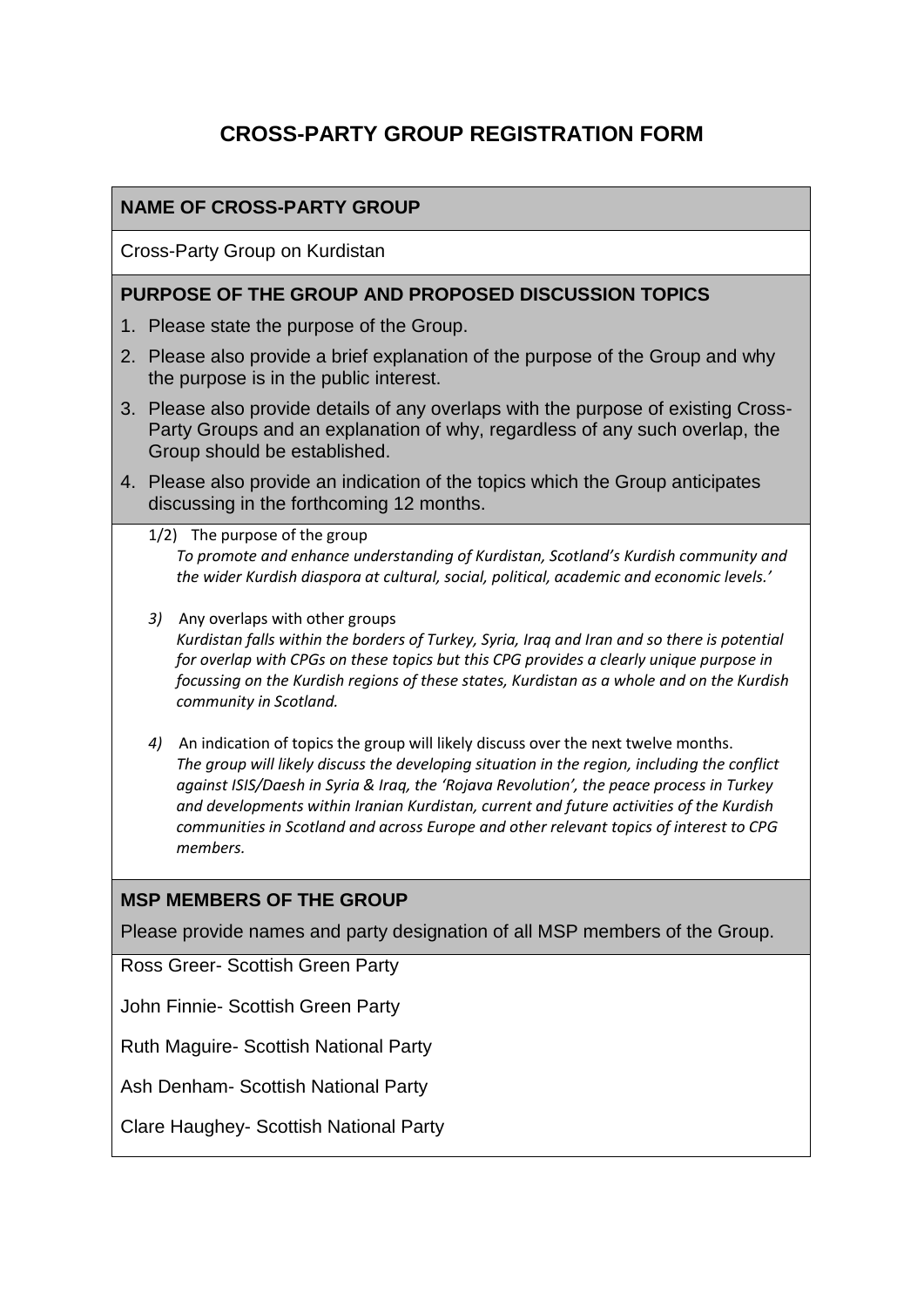# **CROSS-PARTY GROUP REGISTRATION FORM**

# **NAME OF CROSS-PARTY GROUP**

Cross-Party Group on Kurdistan

#### **PURPOSE OF THE GROUP AND PROPOSED DISCUSSION TOPICS**

- 1. Please state the purpose of the Group.
- 2. Please also provide a brief explanation of the purpose of the Group and why the purpose is in the public interest.
- 3. Please also provide details of any overlaps with the purpose of existing Cross-Party Groups and an explanation of why, regardless of any such overlap, the Group should be established.
- 4. Please also provide an indication of the topics which the Group anticipates discussing in the forthcoming 12 months.
	- 1/2) The purpose of the group *To promote and enhance understanding of Kurdistan, Scotland's Kurdish community and the wider Kurdish diaspora at cultural, social, political, academic and economic levels.'*
	- *3)* Any overlaps with other groups *Kurdistan falls within the borders of Turkey, Syria, Iraq and Iran and so there is potential for overlap with CPGs on these topics but this CPG provides a clearly unique purpose in focussing on the Kurdish regions of these states, Kurdistan as a whole and on the Kurdish community in Scotland.*
	- *4)* An indication of topics the group will likely discuss over the next twelve months. *The group will likely discuss the developing situation in the region, including the conflict against ISIS/Daesh in Syria & Iraq, the 'Rojava Revolution', the peace process in Turkey and developments within Iranian Kurdistan, current and future activities of the Kurdish communities in Scotland and across Europe and other relevant topics of interest to CPG members.*

# **MSP MEMBERS OF THE GROUP**

Please provide names and party designation of all MSP members of the Group.

Ross Greer- Scottish Green Party

John Finnie- Scottish Green Party

Ruth Maguire- Scottish National Party

Ash Denham- Scottish National Party

Clare Haughey- Scottish National Party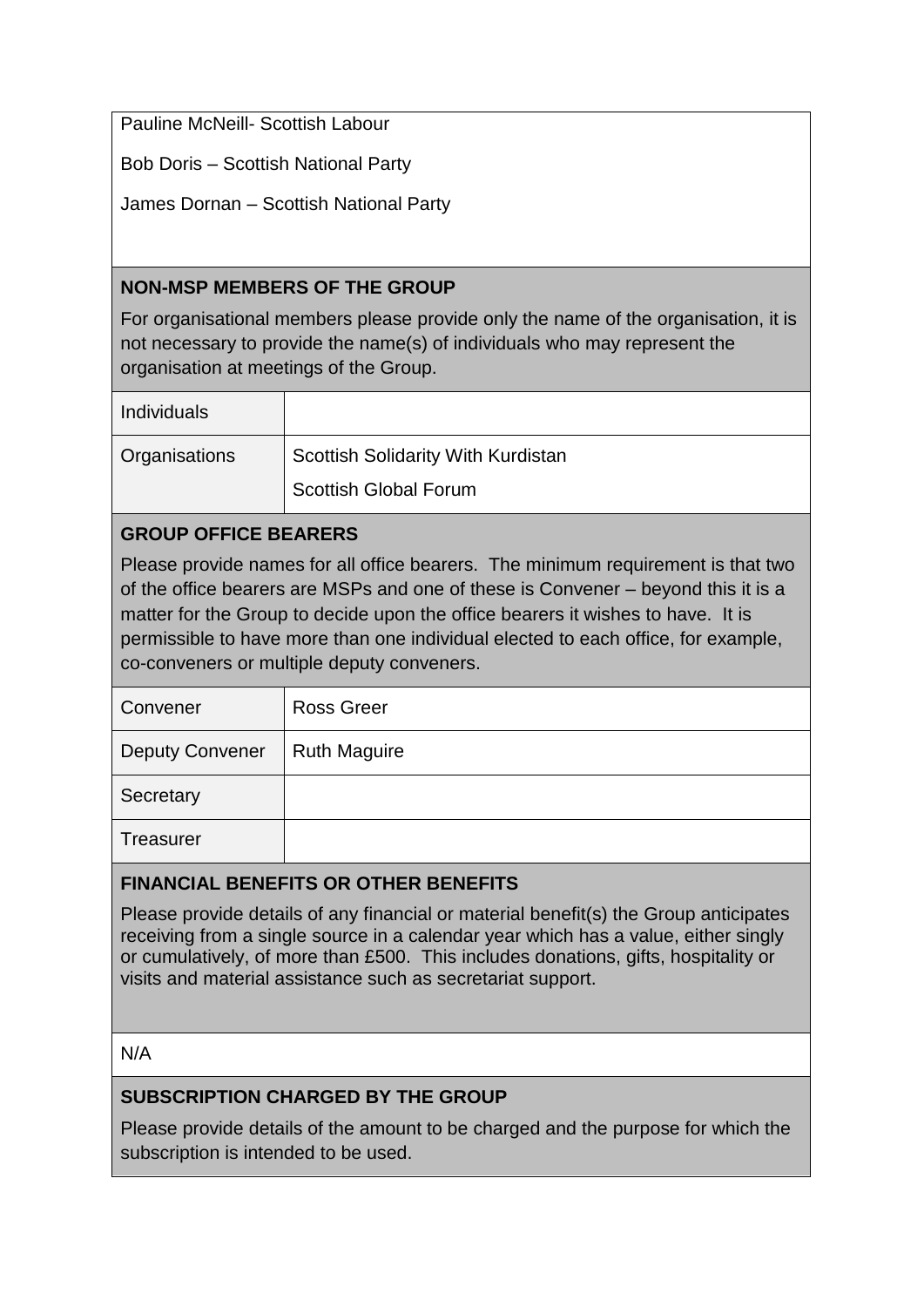Pauline McNeill- Scottish Labour

Bob Doris – Scottish National Party

James Dornan – Scottish National Party

#### **NON-MSP MEMBERS OF THE GROUP**

For organisational members please provide only the name of the organisation, it is not necessary to provide the name(s) of individuals who may represent the organisation at meetings of the Group.

| Individuals   |                                           |
|---------------|-------------------------------------------|
| Organisations | <b>Scottish Solidarity With Kurdistan</b> |
|               | <b>Scottish Global Forum</b>              |

# **GROUP OFFICE BEARERS**

Please provide names for all office bearers. The minimum requirement is that two of the office bearers are MSPs and one of these is Convener – beyond this it is a matter for the Group to decide upon the office bearers it wishes to have. It is permissible to have more than one individual elected to each office, for example, co-conveners or multiple deputy conveners.

| Convener               | <b>Ross Greer</b>   |
|------------------------|---------------------|
| <b>Deputy Convener</b> | <b>Ruth Maguire</b> |
| Secretary              |                     |
| Treasurer              |                     |

#### **FINANCIAL BENEFITS OR OTHER BENEFITS**

Please provide details of any financial or material benefit(s) the Group anticipates receiving from a single source in a calendar year which has a value, either singly or cumulatively, of more than £500. This includes donations, gifts, hospitality or visits and material assistance such as secretariat support.

#### N/A

# **SUBSCRIPTION CHARGED BY THE GROUP**

Please provide details of the amount to be charged and the purpose for which the subscription is intended to be used.